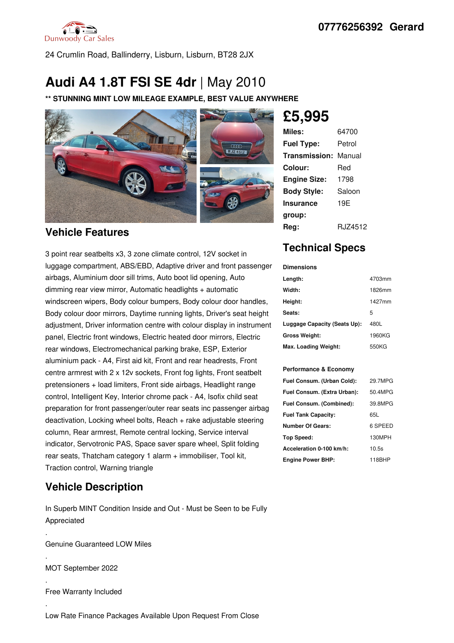

24 Crumlin Road, Ballinderry, Lisburn, Lisburn, BT28 2JX

## **Audi A4 1.8T FSI SE 4dr** |May 2010

**\*\* STUNNING MINT LOW MILEAGE EXAMPLE, BEST VALUE ANYWHERE**



### **Vehicle Features**

3 point rear seatbelts x3, 3 zone climate control, 12V socket in luggage compartment, ABS/EBD, Adaptive driver and front passenger airbags, Aluminium door sill trims, Auto boot lid opening, Auto dimming rear view mirror, Automatic headlights + automatic windscreen wipers, Body colour bumpers, Body colour door handles, Body colour door mirrors, Daytime running lights, Driver's seat height adjustment, Driver information centre with colour display in instrument panel, Electric front windows, Electric heated door mirrors, Electric rear windows, Electromechanical parking brake, ESP, Exterior aluminium pack - A4, First aid kit, Front and rear headrests, Front centre armrest with 2 x 12v sockets, Front fog lights, Front seatbelt pretensioners + load limiters, Front side airbags, Headlight range control, Intelligent Key, Interior chrome pack - A4, Isofix child seat preparation for front passenger/outer rear seats inc passenger airbag deactivation, Locking wheel bolts, Reach + rake adjustable steering column, Rear armrest, Remote central locking, Service interval indicator, Servotronic PAS, Space saver spare wheel, Split folding rear seats, Thatcham category 1 alarm + immobiliser, Tool kit, Traction control, Warning triangle

### **Vehicle Description**

In Superb MINT Condition Inside and Out - Must be Seen to be Fully Appreciated

.Genuine Guaranteed LOW Miles

.MOT September <sup>2022</sup>

.Free Warranty Included

# **£5,995**

| Miles:              | 64700   |
|---------------------|---------|
| <b>Fuel Type:</b>   | Petrol  |
| Transmission:       | Manual  |
| Colour:             | Red     |
| <b>Engine Size:</b> | 1798    |
| <b>Body Style:</b>  | Saloon  |
| <b>Insurance</b>    | 19E     |
| group:              |         |
| Rea:                | RJZ4512 |

## **Technical Specs**

#### **Dimensions**

| Length:                      | 4703mm |
|------------------------------|--------|
| Width:                       | 1826mm |
| Height:                      | 1427mm |
| Seats:                       | 5      |
| Luggage Capacity (Seats Up): | 480L   |
| <b>Gross Weight:</b>         | 1960KG |
| Max. Loading Weight:         | 550KG  |

#### **Performance & Economy**

| Fuel Consum. (Urban Cold):  | 29.7MPG |
|-----------------------------|---------|
| Fuel Consum. (Extra Urban): | 50.4MPG |
| Fuel Consum. (Combined):    | 39.8MPG |
| <b>Fuel Tank Capacity:</b>  | 65L     |
| <b>Number Of Gears:</b>     | 6 SPEED |
| Top Speed:                  | 130MPH  |
| Acceleration 0-100 km/h:    | 10.5s   |
| <b>Engine Power BHP:</b>    | 118BHP  |